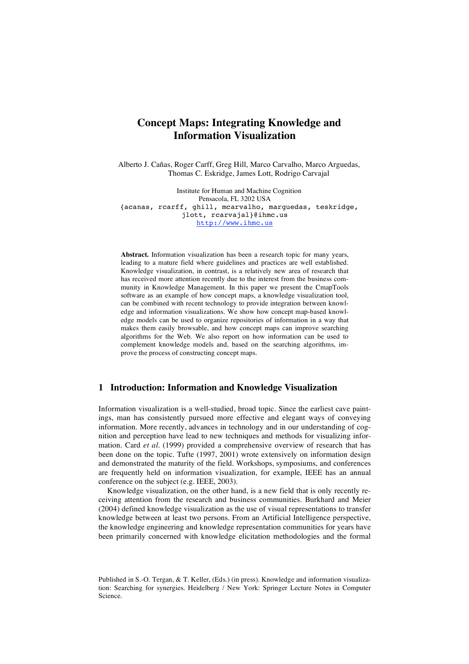# **Concept Maps: Integrating Knowledge and Information Visualization**

Alberto J. Cañas, Roger Carff, Greg Hill, Marco Carvalho, Marco Arguedas, Thomas C. Eskridge, James Lott, Rodrigo Carvajal

Institute for Human and Machine Cognition Pensacola, FL 3202 USA {acanas, rcarff, ghill, mcarvalho, marguedas, teskridge, jlott, rcarvajal}@ihmc.us http://www.ihmc.us

**Abstract.** Information visualization has been a research topic for many years, leading to a mature field where guidelines and practices are well established. Knowledge visualization, in contrast, is a relatively new area of research that has received more attention recently due to the interest from the business community in Knowledge Management. In this paper we present the CmapTools software as an example of how concept maps, a knowledge visualization tool, can be combined with recent technology to provide integration between knowledge and information visualizations. We show how concept map-based knowledge models can be used to organize repositories of information in a way that makes them easily browsable, and how concept maps can improve searching algorithms for the Web. We also report on how information can be used to complement knowledge models and, based on the searching algorithms, improve the process of constructing concept maps.

#### **1 Introduction: Information and Knowledge Visualization**

Information visualization is a well-studied, broad topic. Since the earliest cave paintings, man has consistently pursued more effective and elegant ways of conveying information. More recently, advances in technology and in our understanding of cognition and perception have lead to new techniques and methods for visualizing information. Card *et al.* (1999) provided a comprehensive overview of research that has been done on the topic. Tufte (1997, 2001) wrote extensively on information design and demonstrated the maturity of the field. Workshops, symposiums, and conferences are frequently held on information visualization, for example, IEEE has an annual conference on the subject (e.g. IEEE, 2003).

Knowledge visualization, on the other hand, is a new field that is only recently receiving attention from the research and business communities. Burkhard and Meier (2004) defined knowledge visualization as the use of visual representations to transfer knowledge between at least two persons. From an Artificial Intelligence perspective, the knowledge engineering and knowledge representation communities for years have been primarily concerned with knowledge elicitation methodologies and the formal

Published in S.-O. Tergan, & T. Keller, (Eds.) (in press). Knowledge and information visualization: Searching for synergies. Heidelberg / New York: Springer Lecture Notes in Computer Science.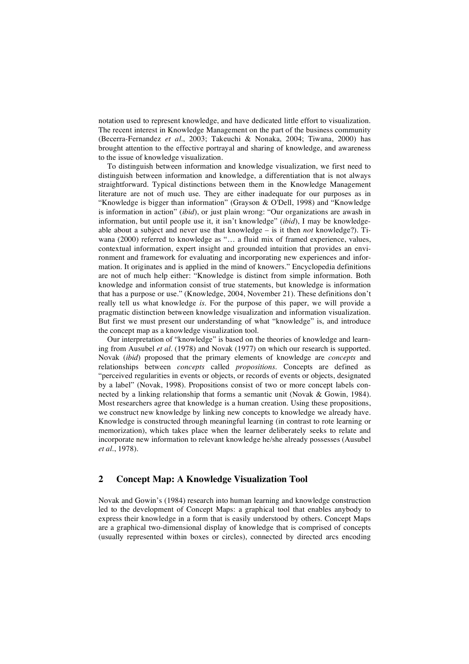notation used to represent knowledge, and have dedicated little effort to visualization. The recent interest in Knowledge Management on the part of the business community (Becerra-Fernandez *et al.*, 2003; Takeuchi & Nonaka, 2004; Tiwana, 2000) has brought attention to the effective portrayal and sharing of knowledge, and awareness to the issue of knowledge visualization.

To distinguish between information and knowledge visualization, we first need to distinguish between information and knowledge, a differentiation that is not always straightforward. Typical distinctions between them in the Knowledge Management literature are not of much use. They are either inadequate for our purposes as in "Knowledge is bigger than information" (Grayson & O'Dell, 1998) and "Knowledge is information in action" (*ibid*), or just plain wrong: "Our organizations are awash in information, but until people use it, it isn't knowledge" (*ibid*), I may be knowledgeable about a subject and never use that knowledge – is it then *not* knowledge?). Tiwana (2000) referred to knowledge as "… a fluid mix of framed experience, values, contextual information, expert insight and grounded intuition that provides an environment and framework for evaluating and incorporating new experiences and information. It originates and is applied in the mind of knowers." Encyclopedia definitions are not of much help either: "Knowledge is distinct from simple information. Both knowledge and information consist of true statements, but knowledge is information that has a purpose or use." (Knowledge, 2004, November 21). These definitions don't really tell us what knowledge *is*. For the purpose of this paper, we will provide a pragmatic distinction between knowledge visualization and information visualization. But first we must present our understanding of what "knowledge" is, and introduce the concept map as a knowledge visualization tool.

Our interpretation of "knowledge" is based on the theories of knowledge and learning from Ausubel *et al*. (1978) and Novak (1977) on which our research is supported. Novak (*ibid*) proposed that the primary elements of knowledge are *concepts* and relationships between *concepts* called *propositions*. Concepts are defined as "perceived regularities in events or objects, or records of events or objects, designated by a label" (Novak, 1998). Propositions consist of two or more concept labels connected by a linking relationship that forms a semantic unit (Novak & Gowin, 1984). Most researchers agree that knowledge is a human creation. Using these propositions, we construct new knowledge by linking new concepts to knowledge we already have. Knowledge is constructed through meaningful learning (in contrast to rote learning or memorization), which takes place when the learner deliberately seeks to relate and incorporate new information to relevant knowledge he/she already possesses (Ausubel *et al.*, 1978).

# **2 Concept Map: A Knowledge Visualization Tool**

Novak and Gowin's (1984) research into human learning and knowledge construction led to the development of Concept Maps: a graphical tool that enables anybody to express their knowledge in a form that is easily understood by others. Concept Maps are a graphical two-dimensional display of knowledge that is comprised of concepts (usually represented within boxes or circles), connected by directed arcs encoding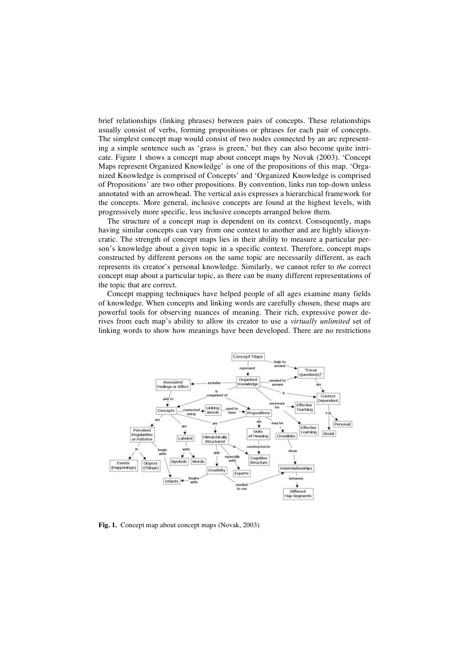brief relationships (linking phrases) between pairs of concepts. These relationships usually consist of verbs, forming propositions or phrases for each pair of concepts. The simplest concept map would consist of two nodes connected by an arc representing a simple sentence such as 'grass is green,' but they can also become quite intricate. Figure 1 shows a concept map about concept maps by Novak (2003). 'Concept Maps represent Organized Knowledge' is one of the propositions of this map. 'Organized Knowledge is comprised of Concepts' and 'Organized Knowledge is comprised of Propositions' are two other propositions. By convention, links run top-down unless annotated with an arrowhead. The vertical axis expresses a hierarchical framework for the concepts. More general, inclusive concepts are found at the highest levels, with progressively more specific, less inclusive concepts arranged below them.

The structure of a concept map is dependent on its context. Consequently, maps having similar concepts can vary from one context to another and are highly idiosyncratic. The strength of concept maps lies in their ability to measure a particular person's knowledge about a given topic in a specific context. Therefore, concept maps constructed by different persons on the same topic are necessarily different, as each represents its creator's personal knowledge. Similarly, we cannot refer to *the* correct concept map about a particular topic, as there can be many different representations of the topic that are correct.

Concept mapping techniques have helped people of all ages examine many fields of knowledge. When concepts and linking words are carefully chosen, these maps are powerful tools for observing nuances of meaning. Their rich, expressive power derives from each map's ability to allow its creator to use a *virtually unlimited* set of linking words to show how meanings have been developed. There are no restrictions



**Fig. 1.** Concept map about concept maps (Novak, 2003)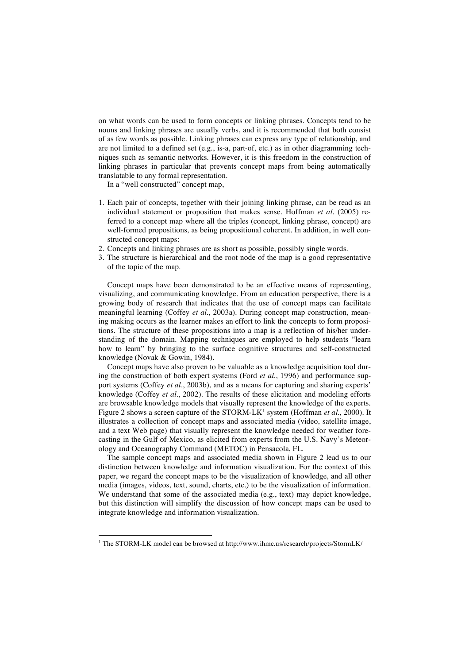on what words can be used to form concepts or linking phrases. Concepts tend to be nouns and linking phrases are usually verbs, and it is recommended that both consist of as few words as possible. Linking phrases can express any type of relationship, and are not limited to a defined set  $(e.g., is-a, part-of, etc.)$  as in other diagramming techniques such as semantic networks. However, it is this freedom in the construction of linking phrases in particular that prevents concept maps from being automatically translatable to any formal representation.

In a "well constructed" concept map,

- 1. Each pair of concepts, together with their joining linking phrase, can be read as an individual statement or proposition that makes sense. Hoffman *et al.* (2005) referred to a concept map where all the triples (concept, linking phrase, concept) are well-formed propositions, as being propositional coherent. In addition, in well constructed concept maps:
- 2. Concepts and linking phrases are as short as possible, possibly single words.
- 3. The structure is hierarchical and the root node of the map is a good representative of the topic of the map.

Concept maps have been demonstrated to be an effective means of representing, visualizing, and communicating knowledge. From an education perspective, there is a growing body of research that indicates that the use of concept maps can facilitate meaningful learning (Coffey *et al.*, 2003a). During concept map construction, meaning making occurs as the learner makes an effort to link the concepts to form propositions. The structure of these propositions into a map is a reflection of his/her understanding of the domain. Mapping techniques are employed to help students "learn how to learn" by bringing to the surface cognitive structures and self-constructed knowledge (Novak & Gowin, 1984).

Concept maps have also proven to be valuable as a knowledge acquisition tool during the construction of both expert systems (Ford *et al.*, 1996) and performance support systems (Coffey *et al.*, 2003b), and as a means for capturing and sharing experts' knowledge (Coffey *et al.*, 2002). The results of these elicitation and modeling efforts are browsable knowledge models that visually represent the knowledge of the experts. Figure 2 shows a screen capture of the STORM-LK1 system (Hoffman *et al.*, 2000). It illustrates a collection of concept maps and associated media (video, satellite image, and a text Web page) that visually represent the knowledge needed for weather forecasting in the Gulf of Mexico, as elicited from experts from the U.S. Navy's Meteorology and Oceanography Command (METOC) in Pensacola, FL.

The sample concept maps and associated media shown in Figure 2 lead us to our distinction between knowledge and information visualization. For the context of this paper, we regard the concept maps to be the visualization of knowledge, and all other media (images, videos, text, sound, charts, etc.) to be the visualization of information. We understand that some of the associated media (e.g., text) may depict knowledge, but this distinction will simplify the discussion of how concept maps can be used to integrate knowledge and information visualization.

<sup>&</sup>lt;sup>1</sup> The STORM-LK model can be browsed at http://www.ihmc.us/research/projects/StormLK/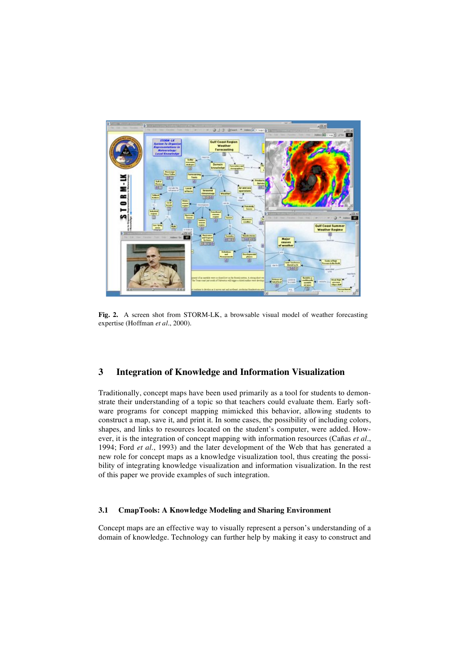

**Fig. 2.** A screen shot from STORM-LK, a browsable visual model of weather forecasting expertise (Hoffman *et al*., 2000).

# **3 Integration of Knowledge and Information Visualization**

Traditionally, concept maps have been used primarily as a tool for students to demonstrate their understanding of a topic so that teachers could evaluate them. Early software programs for concept mapping mimicked this behavior, allowing students to construct a map, save it, and print it. In some cases, the possibility of including colors, shapes, and links to resources located on the student's computer, were added. However, it is the integration of concept mapping with information resources (Cañas *et al.*, 1994; Ford *et al.*, 1993) and the later development of the Web that has generated a new role for concept maps as a knowledge visualization tool, thus creating the possibility of integrating knowledge visualization and information visualization. In the rest of this paper we provide examples of such integration.

### **3.1 CmapTools: A Knowledge Modeling and Sharing Environment**

Concept maps are an effective way to visually represent a person's understanding of a domain of knowledge. Technology can further help by making it easy to construct and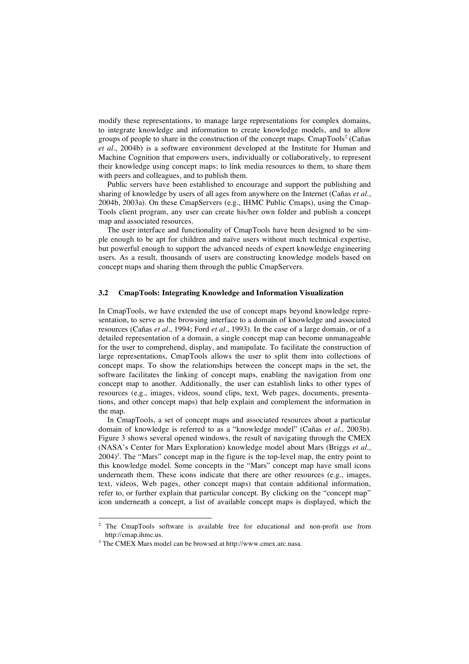modify these representations, to manage large representations for complex domains, to integrate knowledge and information to create knowledge models, and to allow groups of people to share in the construction of the concept maps. CmapTools<sup>2</sup> (Cañas *et al.*, 2004b) is a software environment developed at the Institute for Human and Machine Cognition that empowers users, individually or collaboratively, to represent their knowledge using concept maps; to link media resources to them, to share them with peers and colleagues, and to publish them.

Public servers have been established to encourage and support the publishing and sharing of knowledge by users of all ages from anywhere on the Internet (Cañas *et al*., 2004b, 2003a). On these CmapServers (e.g., IHMC Public Cmaps), using the Cmap-Tools client program, any user can create his/her own folder and publish a concept map and associated resources.

The user interface and functionality of CmapTools have been designed to be simple enough to be apt for children and naïve users without much technical expertise, but powerful enough to support the advanced needs of expert knowledge engineering users. As a result, thousands of users are constructing knowledge models based on concept maps and sharing them through the public CmapServers.

### **3.2 CmapTools: Integrating Knowledge and Information Visualization**

In CmapTools, we have extended the use of concept maps beyond knowledge representation, to serve as the browsing interface to a domain of knowledge and associated resources (Cañas *et al.*, 1994; Ford *et al.*, 1993). In the case of a large domain, or of a detailed representation of a domain, a single concept map can become unmanageable for the user to comprehend, display, and manipulate. To facilitate the construction of large representations, CmapTools allows the user to split them into collections of concept maps. To show the relationships between the concept maps in the set, the software facilitates the linking of concept maps, enabling the navigation from one concept map to another. Additionally, the user can establish links to other types of resources (e.g., images, videos, sound clips, text, Web pages, documents, presentations, and other concept maps) that help explain and complement the information in the map.

In CmapTools, a set of concept maps and associated resources about a particular domain of knowledge is referred to as a "knowledge model" (Cañas *et al.*, 2003b). Figure 3 shows several opened windows, the result of navigating through the CMEX (NASA's Center for Mars Exploration) knowledge model about Mars (Briggs *et al.*, 2004) 3. The "Mars" concept map in the figure is the top-level map, the entry point to this knowledge model. Some concepts in the "Mars" concept map have small icons underneath them. These icons indicate that there are other resources (e.g., images, text, videos, Web pages, other concept maps) that contain additional information, refer to, or further explain that particular concept. By clicking on the "concept map" icon underneath a concept, a list of available concept maps is displayed, which the

 <sup>2</sup> The CmapTools software is available free for educational and non-profit use from http://cmap.ihmc.us.

<sup>&</sup>lt;sup>3</sup> The CMEX Mars model can be browsed at http://www.cmex.arc.nasa.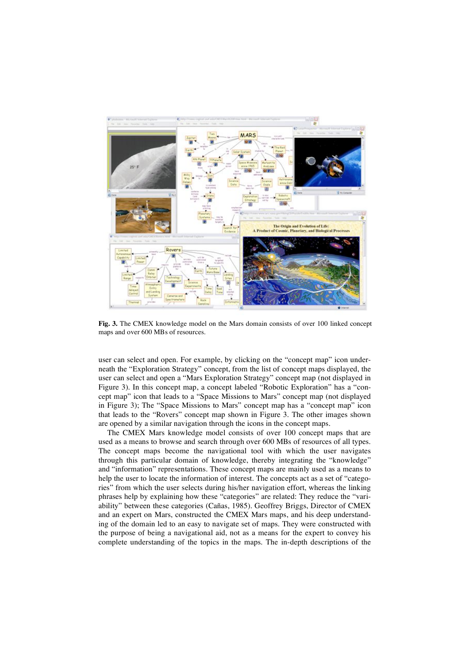

**Fig. 3.** The CMEX knowledge model on the Mars domain consists of over 100 linked concept maps and over 600 MBs of resources.

user can select and open. For example, by clicking on the "concept map" icon underneath the "Exploration Strategy" concept, from the list of concept maps displayed, the user can select and open a "Mars Exploration Strategy" concept map (not displayed in Figure 3). In this concept map, a concept labeled "Robotic Exploration" has a "concept map" icon that leads to a "Space Missions to Mars" concept map (not displayed in Figure 3); The "Space Missions to Mars" concept map has a "concept map" icon that leads to the "Rovers" concept map shown in Figure 3. The other images shown are opened by a similar navigation through the icons in the concept maps.

The CMEX Mars knowledge model consists of over 100 concept maps that are used as a means to browse and search through over 600 MBs of resources of all types. The concept maps become the navigational tool with which the user navigates through this particular domain of knowledge, thereby integrating the "knowledge" and "information" representations. These concept maps are mainly used as a means to help the user to locate the information of interest. The concepts act as a set of "categories" from which the user selects during his/her navigation effort, whereas the linking phrases help by explaining how these "categories" are related: They reduce the "variability" between these categories (Cañas, 1985). Geoffrey Briggs, Director of CMEX and an expert on Mars, constructed the CMEX Mars maps, and his deep understanding of the domain led to an easy to navigate set of maps. They were constructed with the purpose of being a navigational aid, not as a means for the expert to convey his complete understanding of the topics in the maps. The in-depth descriptions of the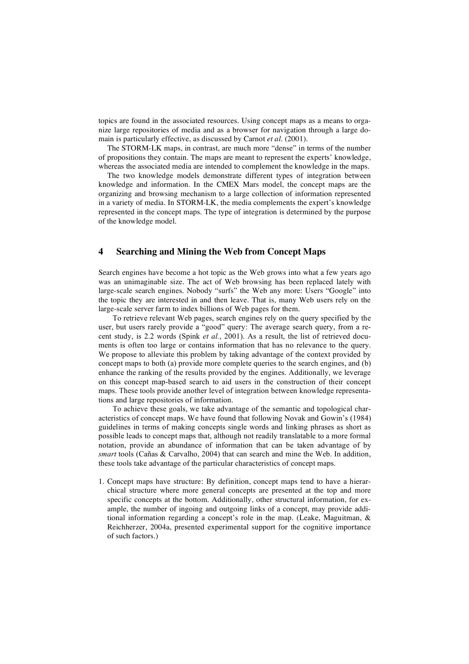topics are found in the associated resources. Using concept maps as a means to organize large repositories of media and as a browser for navigation through a large domain is particularly effective, as discussed by Carnot *et al*. (2001).

The STORM-LK maps, in contrast, are much more "dense" in terms of the number of propositions they contain. The maps are meant to represent the experts' knowledge, whereas the associated media are intended to complement the knowledge in the maps.

The two knowledge models demonstrate different types of integration between knowledge and information. In the CMEX Mars model, the concept maps are the organizing and browsing mechanism to a large collection of information represented in a variety of media. In STORM-LK, the media complements the expert's knowledge represented in the concept maps. The type of integration is determined by the purpose of the knowledge model.

### **4 Searching and Mining the Web from Concept Maps**

Search engines have become a hot topic as the Web grows into what a few years ago was an unimaginable size. The act of Web browsing has been replaced lately with large-scale search engines. Nobody "surfs" the Web any more: Users "Google" into the topic they are interested in and then leave. That is, many Web users rely on the large-scale server farm to index billions of Web pages for them.

To retrieve relevant Web pages, search engines rely on the query specified by the user, but users rarely provide a "good" query: The average search query, from a recent study, is 2.2 words (Spink *et al.*, 2001). As a result, the list of retrieved documents is often too large or contains information that has no relevance to the query. We propose to alleviate this problem by taking advantage of the context provided by concept maps to both (a) provide more complete queries to the search engines, and (b) enhance the ranking of the results provided by the engines. Additionally, we leverage on this concept map-based search to aid users in the construction of their concept maps. These tools provide another level of integration between knowledge representations and large repositories of information.

To achieve these goals, we take advantage of the semantic and topological characteristics of concept maps. We have found that following Novak and Gowin's (1984) guidelines in terms of making concepts single words and linking phrases as short as possible leads to concept maps that, although not readily translatable to a more formal notation, provide an abundance of information that can be taken advantage of by *smart* tools (Cañas & Carvalho, 2004) that can search and mine the Web. In addition, these tools take advantage of the particular characteristics of concept maps.

1. Concept maps have structure: By definition, concept maps tend to have a hierarchical structure where more general concepts are presented at the top and more specific concepts at the bottom. Additionally, other structural information, for example, the number of ingoing and outgoing links of a concept, may provide additional information regarding a concept's role in the map. (Leake, Maguitman, & Reichherzer, 2004a, presented experimental support for the cognitive importance of such factors.)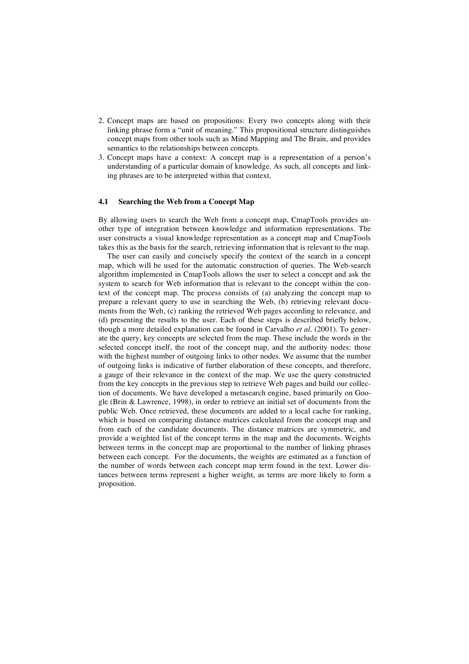- 2. Concept maps are based on propositions: Every two concepts along with their linking phrase form a "unit of meaning." This propositional structure distinguishes concept maps from other tools such as Mind Mapping and The Brain, and provides semantics to the relationships between concepts.
- 3. Concept maps have a context: A concept map is a representation of a person's understanding of a particular domain of knowledge. As such, all concepts and linking phrases are to be interpreted within that context.

#### **4.1 Searching the Web from a Concept Map**

By allowing users to search the Web from a concept map, CmapTools provides another type of integration between knowledge and information representations. The user constructs a visual knowledge representation as a concept map and CmapTools takes this as the basis for the search, retrieving information that is relevant to the map.

The user can easily and concisely specify the context of the search in a concept map, which will be used for the automatic construction of queries. The Web-search algorithm implemented in CmapTools allows the user to select a concept and ask the system to search for Web information that is relevant to the concept within the context of the concept map. The process consists of (a) analyzing the concept map to prepare a relevant query to use in searching the Web, (b) retrieving relevant documents from the Web, (c) ranking the retrieved Web pages according to relevance, and (d) presenting the results to the user. Each of these steps is described briefly below, though a more detailed explanation can be found in Carvalho *et al.* (2001). To generate the query, key concepts are selected from the map. These include the words in the selected concept itself, the root of the concept map, and the authority nodes: those with the highest number of outgoing links to other nodes. We assume that the number of outgoing links is indicative of further elaboration of these concepts, and therefore, a gauge of their relevance in the context of the map. We use the query constructed from the key concepts in the previous step to retrieve Web pages and build our collection of documents. We have developed a metasearch engine, based primarily on Google (Brin & Lawrence, 1998), in order to retrieve an initial set of documents from the public Web. Once retrieved, these documents are added to a local cache for ranking, which is based on comparing distance matrices calculated from the concept map and from each of the candidate documents. The distance matrices are symmetric, and provide a weighted list of the concept terms in the map and the documents. Weights between terms in the concept map are proportional to the number of linking phrases between each concept. For the documents, the weights are estimated as a function of the number of words between each concept map term found in the text. Lower distances between terms represent a higher weight, as terms are more likely to form a proposition.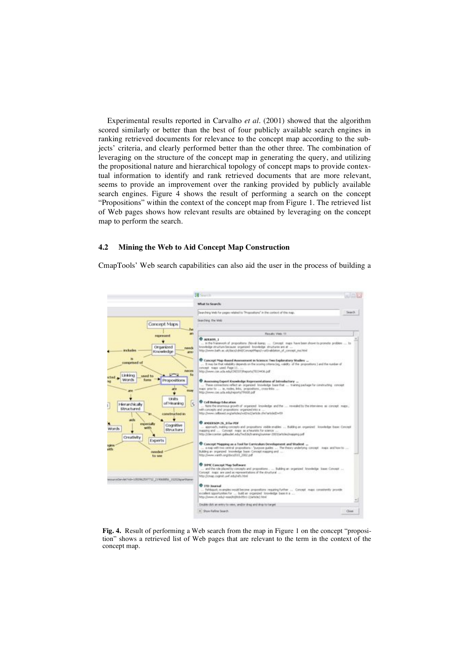Experimental results reported in Carvalho *et al*. (2001) showed that the algorithm scored similarly or better than the best of four publicly available search engines in ranking retrieved documents for relevance to the concept map according to the subjects' criteria, and clearly performed better than the other three. The combination of leveraging on the structure of the concept map in generating the query, and utilizing the propositional nature and hierarchical topology of concept maps to provide contextual information to identify and rank retrieved documents that are more relevant, seems to provide an improvement over the ranking provided by publicly available search engines. Figure 4 shows the result of performing a search on the concept "Propositions" within the context of the concept map from Figure 1. The retrieved list of Web pages shows how relevant results are obtained by leveraging on the concept map to perform the search.

#### **4.2 Mining the Web to Aid Concept Map Construction**

CmapTools' Web search capabilities can also aid the user in the process of building a



**Fig. 4.** Result of performing a Web search from the map in Figure 1 on the concept "proposition" shows <sup>a</sup> retrieved list of Web pages that are relevant to the term in the context of the concept map.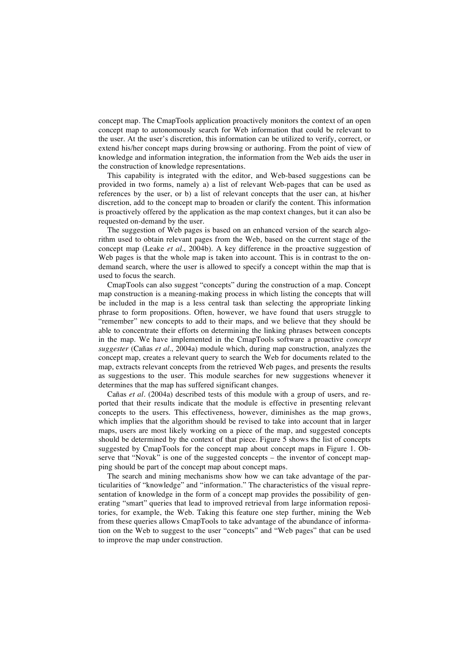concept map. The CmapTools application proactively monitors the context of an open concept map to autonomously search for Web information that could be relevant to the user. At the user's discretion, this information can be utilized to verify, correct, or extend his/her concept maps during browsing or authoring. From the point of view of knowledge and information integration, the information from the Web aids the user in the construction of knowledge representations.

This capability is integrated with the editor, and Web-based suggestions can be provided in two forms, namely a) a list of relevant Web-pages that can be used as references by the user, or b) a list of relevant concepts that the user can, at his/her discretion, add to the concept map to broaden or clarify the content. This information is proactively offered by the application as the map context changes, but it can also be requested on-demand by the user.

The suggestion of Web pages is based on an enhanced version of the search algorithm used to obtain relevant pages from the Web, based on the current stage of the concept map (Leake *et al.*, 2004b). A key difference in the proactive suggestion of Web pages is that the whole map is taken into account. This is in contrast to the ondemand search, where the user is allowed to specify a concept within the map that is used to focus the search.

CmapTools can also suggest "concepts" during the construction of a map. Concept map construction is a meaning-making process in which listing the concepts that will be included in the map is a less central task than selecting the appropriate linking phrase to form propositions. Often, however, we have found that users struggle to "remember" new concepts to add to their maps, and we believe that they should be able to concentrate their efforts on determining the linking phrases between concepts in the map. We have implemented in the CmapTools software a proactive *concept suggester* (Cañas *et al*., 2004a) module which, during map construction, analyzes the concept map, creates a relevant query to search the Web for documents related to the map, extracts relevant concepts from the retrieved Web pages, and presents the results as suggestions to the user. This module searches for new suggestions whenever it determines that the map has suffered significant changes.

Cañas *et al*. (2004a) described tests of this module with a group of users, and reported that their results indicate that the module is effective in presenting relevant concepts to the users. This effectiveness, however, diminishes as the map grows, which implies that the algorithm should be revised to take into account that in larger maps, users are most likely working on a piece of the map, and suggested concepts should be determined by the context of that piece. Figure 5 shows the list of concepts suggested by CmapTools for the concept map about concept maps in Figure 1. Observe that "Novak" is one of the suggested concepts – the inventor of concept mapping should be part of the concept map about concept maps.

The search and mining mechanisms show how we can take advantage of the particularities of "knowledge" and "information." The characteristics of the visual representation of knowledge in the form of a concept map provides the possibility of generating "smart" queries that lead to improved retrieval from large information repositories, for example, the Web. Taking this feature one step further, mining the Web from these queries allows CmapTools to take advantage of the abundance of information on the Web to suggest to the user "concepts" and "Web pages" that can be used to improve the map under construction.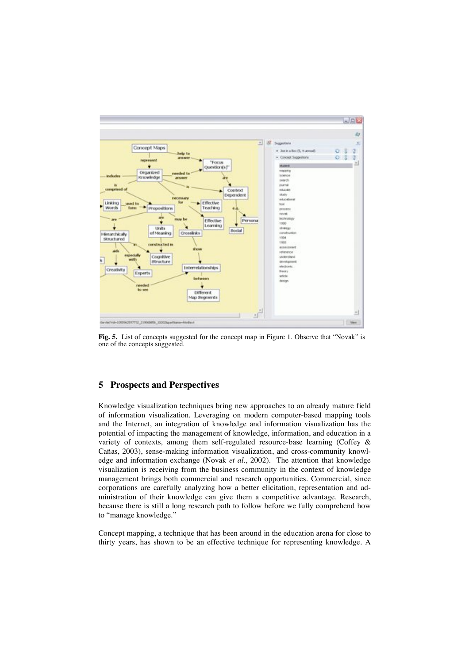

**Fig. 5.** List of concepts suggested for the concept map in Figure 1. Observe that "Novak" is one of the concepts suggested.

### **5 Prospects and Perspectives**

Knowledge visualization techniques bring new approaches to an already mature field of information visualization. Leveraging on modern computer-based mapping tools and the Internet, an integration of knowledge and information visualization has the potential of impacting the management of knowledge, information, and education in a variety of contexts, among them self-regulated resource-base learning (Coffey & Cañas, 2003), sense-making information visualization, and cross-community knowledge and information exchange (Novak *et al*., 2002). The attention that knowledge visualization is receiving from the business community in the context of knowledge management brings both commercial and research opportunities. Commercial, since corporations are carefully analyzing how a better elicitation, representation and administration of their knowledge can give them a competitive advantage. Research, because there is still a long research path to follow before we fully comprehend how to "manage knowledge."

Concept mapping, a technique that has been around in the education arena for close to thirty years, has shown to be an effective technique for representing knowledge. A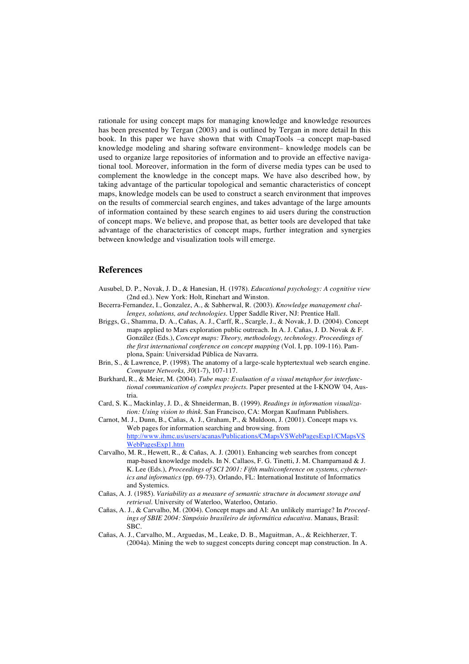rationale for using concept maps for managing knowledge and knowledge resources has been presented by Tergan (2003) and is outlined by Tergan in more detail In this book. In this paper we have shown that with CmapTools –a concept map-based knowledge modeling and sharing software environment– knowledge models can be used to organize large repositories of information and to provide an effective navigational tool. Moreover, information in the form of diverse media types can be used to complement the knowledge in the concept maps. We have also described how, by taking advantage of the particular topological and semantic characteristics of concept maps, knowledge models can be used to construct a search environment that improves on the results of commercial search engines, and takes advantage of the large amounts of information contained by these search engines to aid users during the construction of concept maps. We believe, and propose that, as better tools are developed that take advantage of the characteristics of concept maps, further integration and synergies between knowledge and visualization tools will emerge.

#### **References**

- Ausubel, D. P., Novak, J. D., & Hanesian, H. (1978). *Educational psychology: A cognitive view* (2nd ed.). New York: Holt, Rinehart and Winston.
- Becerra-Fernandez, I., Gonzalez, A., & Sabherwal, R. (2003). *Knowledge management challenges, solutions, and technologies*. Upper Saddle River, NJ: Prentice Hall.
- Briggs, G., Shamma, D. A., Cañas, A. J., Carff, R., Scargle, J., & Novak, J. D. (2004). Concept maps applied to Mars exploration public outreach. In A. J. Cañas, J. D. Novak & F. González (Eds.), *Concept maps: Theory, methodology, technology. Proceedings of the first international conference on concept mapping* (Vol. I, pp. 109-116). Pamplona, Spain: Universidad Pública de Navarra.
- Brin, S., & Lawrence, P. (1998). The anatomy of a large-scale hyptertextual web search engine. *Computer Networks, 30*(1-7), 107-117.
- Burkhard, R., & Meier, M. (2004). *Tube map: Evaluation of a visual metaphor for interfunctional communication of complex projects.* Paper presented at the I-KNOW '04, Austria.
- Card, S. K., Mackinlay, J. D., & Shneiderman, B. (1999). *Readings in information visualization: Using vision to think*. San Francisco, CA: Morgan Kaufmann Publishers.
- Carnot, M. J., Dunn, B., Cañas, A. J., Graham, P., & Muldoon, J. (2001). Concept maps vs. Web pages for information searching and browsing. from http://www.ihmc.us/users/acanas/Publications/CMapsVSWebPagesExp1/CMapsVS WebPagesExp1.htm
- Carvalho, M. R., Hewett, R., & Cañas, A. J. (2001). Enhancing web searches from concept map-based knowledge models. In N. Callaos, F. G. Tinetti, J. M. Champarnaud & J. K. Lee (Eds.), *Proceedings of SCI 2001: Fifth multiconference on systems, cybernetics and informatics* (pp. 69-73). Orlando, FL: International Institute of Informatics and Systemics.
- Cañas, A. J. (1985). *Variability as a measure of semantic structure in document storage and retrieval.* University of Waterloo, Waterloo, Ontario.
- Cañas, A. J., & Carvalho, M. (2004). Concept maps and AI: An unlikely marriage? In *Proceedings of SBIE 2004: Simpósio brasileiro de informática educativa*. Manaus, Brasil: SBC.
- Cañas, A. J., Carvalho, M., Arguedas, M., Leake, D. B., Maguitman, A., & Reichherzer, T. (2004a). Mining the web to suggest concepts during concept map construction. In A.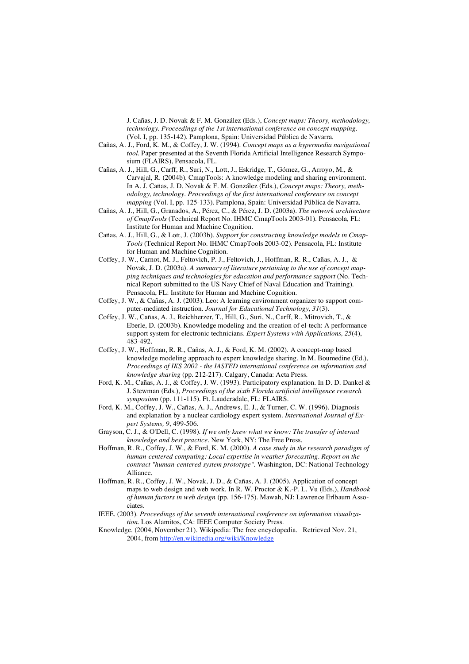J. Cañas, J. D. Novak & F. M. González (Eds.), *Concept maps: Theory, methodology, technology. Proceedings of the 1st international conference on concept mapping.* (Vol. I, pp. 135-142). Pamplona, Spain: Universidad Pública de Navarra.

- Cañas, A. J., Ford, K. M., & Coffey, J. W. (1994). *Concept maps as a hypermedia navigational tool.* Paper presented at the Seventh Florida Artificial Intelligence Research Symposium (FLAIRS), Pensacola, FL.
- Cañas, A. J., Hill, G., Carff, R., Suri, N., Lott, J., Eskridge, T., Gómez, G., Arroyo, M., & Carvajal, R. (2004b). CmapTools: A knowledge modeling and sharing environment. In A. J. Cañas, J. D. Novak & F. M. González (Eds.), *Concept maps: Theory, methodology, technology. Proceedings of the first international conference on concept mapping* (Vol. I, pp. 125-133). Pamplona, Spain: Universidad Pública de Navarra.
- Cañas, A. J., Hill, G., Granados, A., Pérez, C., & Pérez, J. D. (2003a). *The network architecture of CmapTools* (Technical Report No. IHMC CmapTools 2003-01). Pensacola, FL: Institute for Human and Machine Cognition.
- Cañas, A. J., Hill, G., & Lott, J. (2003b). *Support for constructing knowledge models in Cmap-Tools* (Technical Report No. IHMC CmapTools 2003-02). Pensacola, FL: Institute for Human and Machine Cognition.
- Coffey, J. W., Carnot, M. J., Feltovich, P. J., Feltovich, J., Hoffman, R. R., Cañas, A. J., & Novak, J. D. (2003a). *A summary of literature pertaining to the use of concept mapping techniques and technologies for education and performance support* (No. Technical Report submitted to the US Navy Chief of Naval Education and Training). Pensacola, FL: Institute for Human and Machine Cognition.
- Coffey, J. W., & Cañas, A. J. (2003). Leo: A learning environment organizer to support computer-mediated instruction. *Journal for Educational Technology, 31*(3).
- Coffey, J. W., Cañas, A. J., Reichherzer, T., Hill, G., Suri, N., Carff, R., Mitrovich, T., & Eberle, D. (2003b). Knowledge modeling and the creation of el-tech: A performance support system for electronic technicians. *Expert Systems with Applications, 25*(4), 483-492.
- Coffey, J. W., Hoffman, R. R., Cañas, A. J., & Ford, K. M. (2002). A concept-map based knowledge modeling approach to expert knowledge sharing. In M. Boumedine (Ed.), *Proceedings of IKS 2002 - the IASTED international conference on information and knowledge sharing* (pp. 212-217). Calgary, Canada: Acta Press.
- Ford, K. M., Cañas, A. J., & Coffey, J. W. (1993). Participatory explanation. In D. D. Dankel & J. Stewman (Eds.), *Proceedings of the sixth Florida artificial intelligence research symposium* (pp. 111-115). Ft. Lauderadale, FL: FLAIRS.
- Ford, K. M., Coffey, J. W., Cañas, A. J., Andrews, E. J., & Turner, C. W. (1996). Diagnosis and explanation by a nuclear cardiology expert system. *International Journal of Expert Systems, 9*, 499-506.
- Grayson, C. J., & O'Dell, C. (1998). *If we only knew what we know: The transfer of internal knowledge and best practice*. New York, NY: The Free Press.
- Hoffman, R. R., Coffey, J. W., & Ford, K. M. (2000). *A case study in the research paradigm of human-centered computing: Local expertise in weather forecasting. Report on the contract "human-centered system prototype"*. Washington, DC: National Technology Alliance.
- Hoffman, R. R., Coffey, J. W., Novak, J. D., & Cañas, A. J. (2005). Application of concept maps to web design and web work. In R. W. Proctor & K.-P. L. Vu (Eds.), *Handbook of human factors in web design* (pp. 156-175). Mawah, NJ: Lawrence Erlbaum Associates.
- IEEE. (2003). *Proceedings of the seventh international conference on information visualization*. Los Alamitos, CA: IEEE Computer Society Press.
- Knowledge. (2004, November 21). Wikipedia: The free encyclopedia. Retrieved Nov. 21, 2004, from http://en.wikipedia.org/wiki/Knowledge